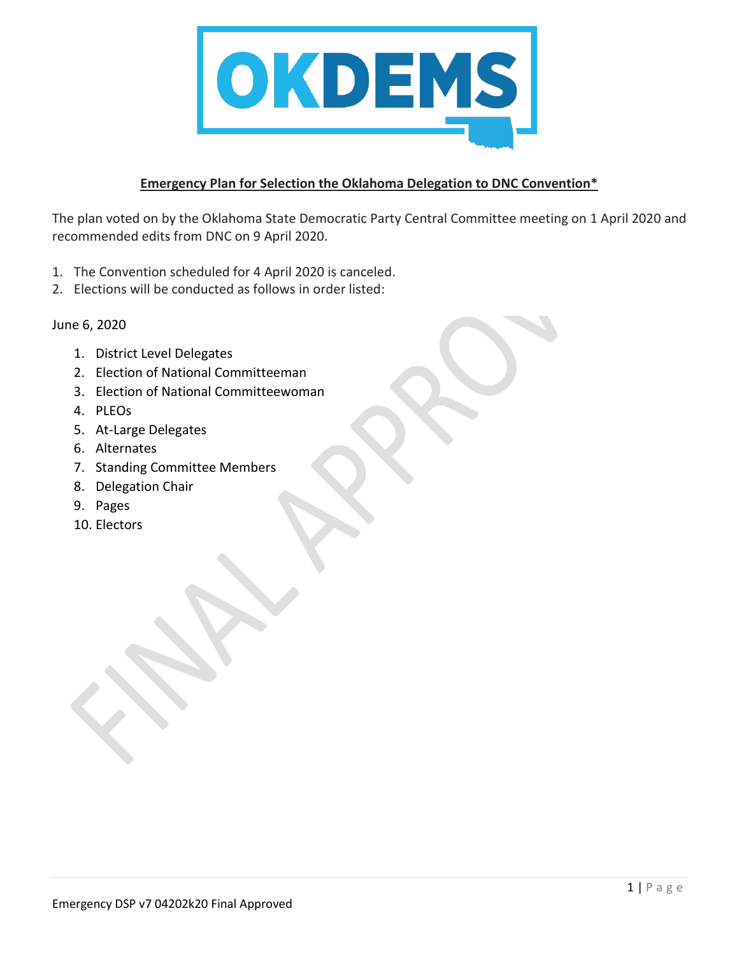

## **Emergency Plan for Selection the Oklahoma Delegation to DNC Convention\***

The plan voted on by the Oklahoma State Democratic Party Central Committee meeting on 1 April 2020 and recommended edits from DNC on 9 April 2020.

- 1. The Convention scheduled for 4 April 2020 is canceled.
- 2. Elections will be conducted as follows in order listed:

June 6, 2020

- 1. District Level Delegates
- 2. Election of National Committeeman
- 3. Election of National Committeewoman
- 4. PLEOs
- 5. At-Large Delegates
- 6. Alternates
- 7. Standing Committee Members
- 8. Delegation Chair
- 9. Pages
- 10. Electors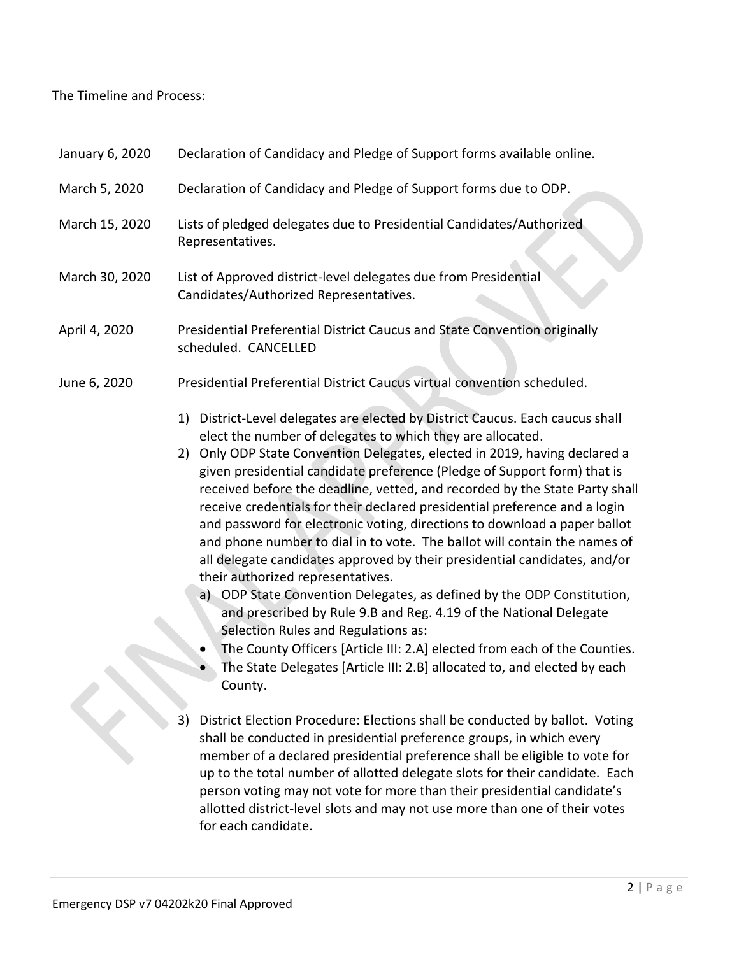## The Timeline and Process:

| January 6, 2020 | Declaration of Candidacy and Pledge of Support forms available online.                                                                                                                                                                                                                                                                                                                                                                                                                                                                                                                                                                                                                                                                                                                                                                                                                                                                                                                                                                                                                                      |  |  |
|-----------------|-------------------------------------------------------------------------------------------------------------------------------------------------------------------------------------------------------------------------------------------------------------------------------------------------------------------------------------------------------------------------------------------------------------------------------------------------------------------------------------------------------------------------------------------------------------------------------------------------------------------------------------------------------------------------------------------------------------------------------------------------------------------------------------------------------------------------------------------------------------------------------------------------------------------------------------------------------------------------------------------------------------------------------------------------------------------------------------------------------------|--|--|
| March 5, 2020   | Declaration of Candidacy and Pledge of Support forms due to ODP.                                                                                                                                                                                                                                                                                                                                                                                                                                                                                                                                                                                                                                                                                                                                                                                                                                                                                                                                                                                                                                            |  |  |
| March 15, 2020  | Lists of pledged delegates due to Presidential Candidates/Authorized<br>Representatives.                                                                                                                                                                                                                                                                                                                                                                                                                                                                                                                                                                                                                                                                                                                                                                                                                                                                                                                                                                                                                    |  |  |
| March 30, 2020  | List of Approved district-level delegates due from Presidential<br>Candidates/Authorized Representatives.                                                                                                                                                                                                                                                                                                                                                                                                                                                                                                                                                                                                                                                                                                                                                                                                                                                                                                                                                                                                   |  |  |
| April 4, 2020   | Presidential Preferential District Caucus and State Convention originally<br>scheduled. CANCELLED                                                                                                                                                                                                                                                                                                                                                                                                                                                                                                                                                                                                                                                                                                                                                                                                                                                                                                                                                                                                           |  |  |
| June 6, 2020    | Presidential Preferential District Caucus virtual convention scheduled.                                                                                                                                                                                                                                                                                                                                                                                                                                                                                                                                                                                                                                                                                                                                                                                                                                                                                                                                                                                                                                     |  |  |
|                 | District-Level delegates are elected by District Caucus. Each caucus shall<br>1)<br>elect the number of delegates to which they are allocated.<br>2) Only ODP State Convention Delegates, elected in 2019, having declared a<br>given presidential candidate preference (Pledge of Support form) that is<br>received before the deadline, vetted, and recorded by the State Party shall<br>receive credentials for their declared presidential preference and a login<br>and password for electronic voting, directions to download a paper ballot<br>and phone number to dial in to vote. The ballot will contain the names of<br>all delegate candidates approved by their presidential candidates, and/or<br>their authorized representatives.<br>a) ODP State Convention Delegates, as defined by the ODP Constitution,<br>and prescribed by Rule 9.B and Reg. 4.19 of the National Delegate<br>Selection Rules and Regulations as:<br>The County Officers [Article III: 2.A] elected from each of the Counties.<br>The State Delegates [Article III: 2.B] allocated to, and elected by each<br>County. |  |  |
|                 | 3)<br>District Election Procedure: Elections shall be conducted by ballot. Voting<br>shall be conducted in presidential preference groups, in which every<br>member of a declared presidential preference shall be eligible to vote for<br>up to the total number of allotted delegate slots for their candidate. Each<br>person voting may not vote for more than their presidential candidate's                                                                                                                                                                                                                                                                                                                                                                                                                                                                                                                                                                                                                                                                                                           |  |  |

allotted district-level slots and may not use more than one of their votes

for each candidate.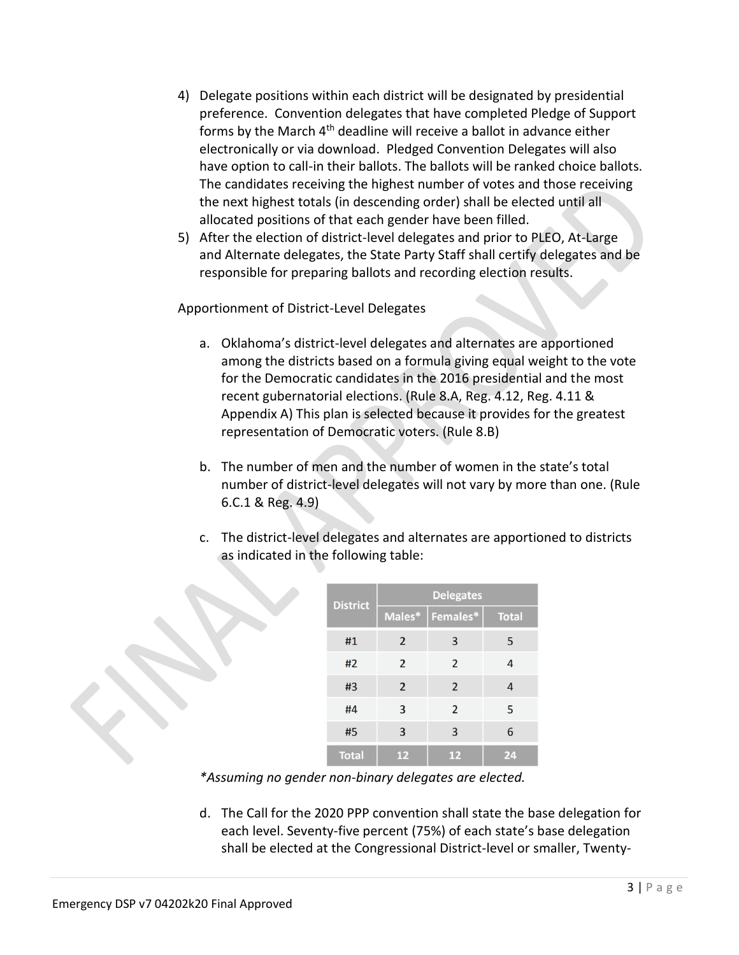- 4) Delegate positions within each district will be designated by presidential preference. Convention delegates that have completed Pledge of Support forms by the March  $4<sup>th</sup>$  deadline will receive a ballot in advance either electronically or via download. Pledged Convention Delegates will also have option to call-in their ballots. The ballots will be ranked choice ballots. The candidates receiving the highest number of votes and those receiving the next highest totals (in descending order) shall be elected until all allocated positions of that each gender have been filled.
- 5) After the election of district-level delegates and prior to PLEO, At-Large and Alternate delegates, the State Party Staff shall certify delegates and be responsible for preparing ballots and recording election results.

Apportionment of District-Level Delegates

- a. Oklahoma's district-level delegates and alternates are apportioned among the districts based on a formula giving equal weight to the vote for the Democratic candidates in the 2016 presidential and the most recent gubernatorial elections. (Rule 8.A, Reg. 4.12, Reg. 4.11 & Appendix A) This plan is selected because it provides for the greatest representation of Democratic voters. (Rule 8.B)
- b. The number of men and the number of women in the state's total number of district-level delegates will not vary by more than one. (Rule 6.C.1 & Reg. 4.9)
- c. The district-level delegates and alternates are apportioned to districts as indicated in the following table:

| <b>District</b> | <b>Delegates</b> |                |              |  |
|-----------------|------------------|----------------|--------------|--|
|                 | Males*           | Females*       | <b>Total</b> |  |
| #1              | 2                | 3              | 5            |  |
| #2              | $\overline{2}$   | 2              | 4            |  |
| #3              | $\overline{2}$   | $\overline{2}$ | 4            |  |
| #4              | 3                | 2              | 5            |  |
| #5              | 3                | 3              | 6            |  |
| <b>Total</b>    | 12               | 12             | 24           |  |

*\*Assuming no gender non-binary delegates are elected.*

d. The Call for the 2020 PPP convention shall state the base delegation for each level. Seventy-five percent (75%) of each state's base delegation shall be elected at the Congressional District-level or smaller, Twenty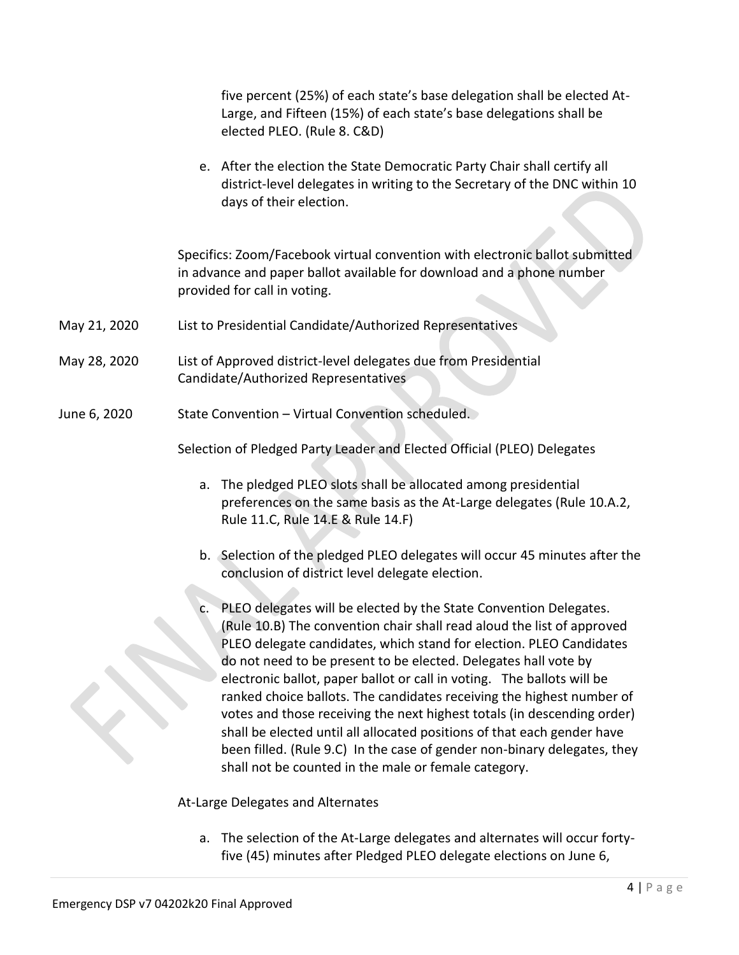five percent (25%) of each state's base delegation shall be elected At-Large, and Fifteen (15%) of each state's base delegations shall be elected PLEO. (Rule 8. C&D)

e. After the election the State Democratic Party Chair shall certify all district-level delegates in writing to the Secretary of the DNC within 10 days of their election.

Specifics: Zoom/Facebook virtual convention with electronic ballot submitted in advance and paper ballot available for download and a phone number provided for call in voting.

- May 21, 2020 List to Presidential Candidate/Authorized Representatives
- May 28, 2020 List of Approved district-level delegates due from Presidential Candidate/Authorized Representatives
- June 6, 2020 State Convention Virtual Convention scheduled.

Selection of Pledged Party Leader and Elected Official (PLEO) Delegates

- a. The pledged PLEO slots shall be allocated among presidential preferences on the same basis as the At-Large delegates (Rule 10.A.2, Rule 11.C, Rule 14.E & Rule 14.F)
- b. Selection of the pledged PLEO delegates will occur 45 minutes after the conclusion of district level delegate election.
- c. PLEO delegates will be elected by the State Convention Delegates. (Rule 10.B) The convention chair shall read aloud the list of approved PLEO delegate candidates, which stand for election. PLEO Candidates do not need to be present to be elected. Delegates hall vote by electronic ballot, paper ballot or call in voting. The ballots will be ranked choice ballots. The candidates receiving the highest number of votes and those receiving the next highest totals (in descending order) shall be elected until all allocated positions of that each gender have been filled. (Rule 9.C) In the case of gender non-binary delegates, they shall not be counted in the male or female category.

At-Large Delegates and Alternates

a. The selection of the At-Large delegates and alternates will occur fortyfive (45) minutes after Pledged PLEO delegate elections on June 6,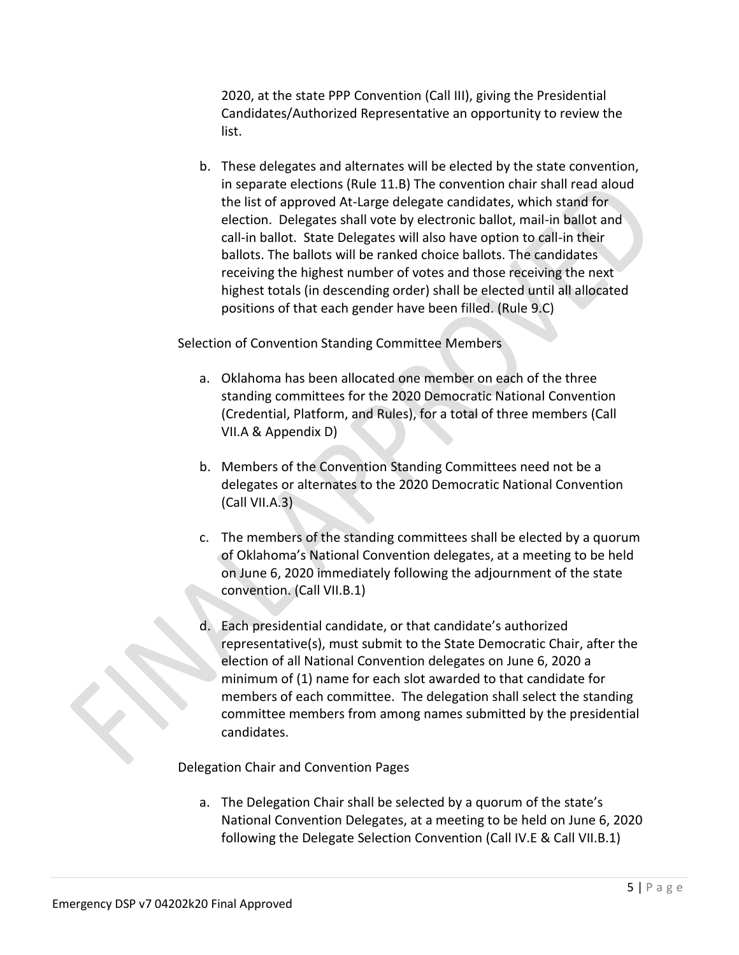2020, at the state PPP Convention (Call III), giving the Presidential Candidates/Authorized Representative an opportunity to review the list.

b. These delegates and alternates will be elected by the state convention, in separate elections (Rule 11.B) The convention chair shall read aloud the list of approved At-Large delegate candidates, which stand for election. Delegates shall vote by electronic ballot, mail-in ballot and call-in ballot. State Delegates will also have option to call-in their ballots. The ballots will be ranked choice ballots. The candidates receiving the highest number of votes and those receiving the next highest totals (in descending order) shall be elected until all allocated positions of that each gender have been filled. (Rule 9.C)

Selection of Convention Standing Committee Members

- a. Oklahoma has been allocated one member on each of the three standing committees for the 2020 Democratic National Convention (Credential, Platform, and Rules), for a total of three members (Call VII.A & Appendix D)
- b. Members of the Convention Standing Committees need not be a delegates or alternates to the 2020 Democratic National Convention (Call VII.A.3)
- c. The members of the standing committees shall be elected by a quorum of Oklahoma's National Convention delegates, at a meeting to be held on June 6, 2020 immediately following the adjournment of the state convention. (Call VII.B.1)
- d. Each presidential candidate, or that candidate's authorized representative(s), must submit to the State Democratic Chair, after the election of all National Convention delegates on June 6, 2020 a minimum of (1) name for each slot awarded to that candidate for members of each committee. The delegation shall select the standing committee members from among names submitted by the presidential candidates.

Delegation Chair and Convention Pages

a. The Delegation Chair shall be selected by a quorum of the state's National Convention Delegates, at a meeting to be held on June 6, 2020 following the Delegate Selection Convention (Call IV.E & Call VII.B.1)